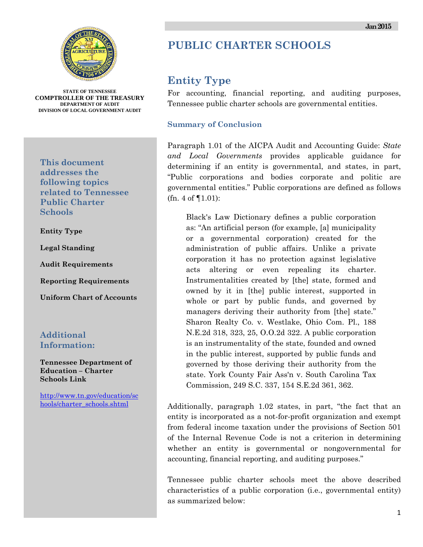

**STATE OF TENNESSEE COMPTROLLER OF THE TREASURY DEPARTMENT OF AUDIT DIVISION OF LOCAL GOVERNMENT AUDIT** 

**This document addresses the following topics related to Tennessee Public Charter Schools** 

**Entity Type** 

**Legal Standing** 

**Audit Requirements** 

**Reporting Requirements** 

**Uniform Chart of Accounts**

#### **Additional Information:**

**Tennessee Department of Education – Charter Schools Link** 

http://www.tn.gov/education/sc hools/charter\_schools.shtml

# **PUBLIC CHARTER SCHOOLS**

## **Entity Type**

For accounting, financial reporting, and auditing purposes, Tennessee public charter schools are governmental entities.

#### **Summary of Conclusion**

Paragraph 1.01 of the AICPA Audit and Accounting Guide: *State and Local Governments* provides applicable guidance for determining if an entity is governmental, and states, in part, "Public corporations and bodies corporate and politic are governmental entities." Public corporations are defined as follows (fn. 4 of ¶1.01):

Black's Law Dictionary defines a public corporation as: "An artificial person (for example, [a] municipality or a governmental corporation) created for the administration of public affairs. Unlike a private corporation it has no protection against legislative acts altering or even repealing its charter. Instrumentalities created by [the] state, formed and owned by it in [the] public interest, supported in whole or part by public funds, and governed by managers deriving their authority from [the] state." Sharon Realty Co. v. Westlake, Ohio Com. Pl., 188 N.E.2d 318, 323, 25, O.O.2d 322. A public corporation is an instrumentality of the state, founded and owned in the public interest, supported by public funds and governed by those deriving their authority from the state. York County Fair Ass'n v. South Carolina Tax Commission, 249 S.C. 337, 154 S.E.2d 361, 362.

Additionally, paragraph 1.02 states, in part, "the fact that an entity is incorporated as a not-for-profit organization and exempt from federal income taxation under the provisions of Section 501 of the Internal Revenue Code is not a criterion in determining whether an entity is governmental or nongovernmental for accounting, financial reporting, and auditing purposes."

Tennessee public charter schools meet the above described characteristics of a public corporation (i.e., governmental entity) as summarized below: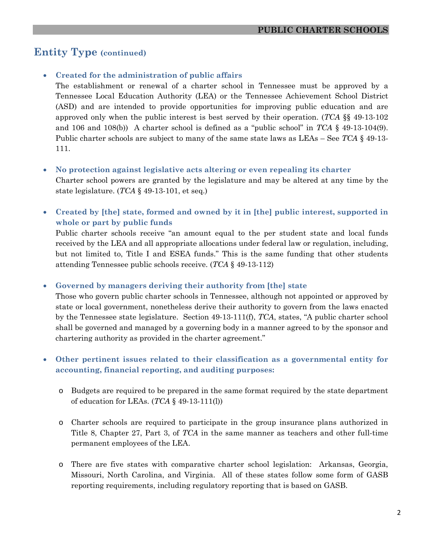# **Entity Type (continued)**

#### • **Created for the administration of public affairs**

The establishment or renewal of a charter school in Tennessee must be approved by a Tennessee Local Education Authority (LEA) or the Tennessee Achievement School District (ASD) and are intended to provide opportunities for improving public education and are approved only when the public interest is best served by their operation. (*TCA* §§ 49-13-102 and 106 and 108(b)) A charter school is defined as a "public school" in *TCA* § 49-13-104(9). Public charter schools are subject to many of the same state laws as LEAs – See *TCA* § 49-13- 111.

#### • **No protection against legislative acts altering or even repealing its charter**

Charter school powers are granted by the legislature and may be altered at any time by the state legislature. (*TCA* § 49-13-101, et seq.)

• **Created by [the] state, formed and owned by it in [the] public interest, supported in whole or part by public funds** 

Public charter schools receive "an amount equal to the per student state and local funds received by the LEA and all appropriate allocations under federal law or regulation, including, but not limited to, Title I and ESEA funds." This is the same funding that other students attending Tennessee public schools receive. (*TCA* § 49-13-112)

• **Governed by managers deriving their authority from [the] state** 

Those who govern public charter schools in Tennessee, although not appointed or approved by state or local government, nonetheless derive their authority to govern from the laws enacted by the Tennessee state legislature. Section 49-13-111(f), *TCA*, states, "A public charter school shall be governed and managed by a governing body in a manner agreed to by the sponsor and chartering authority as provided in the charter agreement."

#### • **Other pertinent issues related to their classification as a governmental entity for accounting, financial reporting, and auditing purposes:**

- o Budgets are required to be prepared in the same format required by the state department of education for LEAs. (*TCA* § 49-13-111(l))
- o Charter schools are required to participate in the group insurance plans authorized in Title 8, Chapter 27, Part 3, of *TCA* in the same manner as teachers and other full-time permanent employees of the LEA.
- o There are five states with comparative charter school legislation: Arkansas, Georgia, Missouri, North Carolina, and Virginia. All of these states follow some form of GASB reporting requirements, including regulatory reporting that is based on GASB.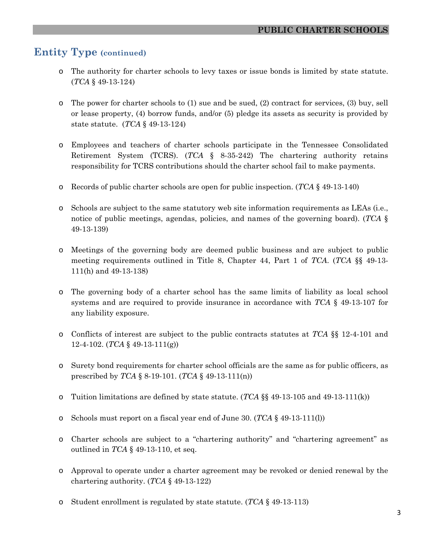### **Entity Type (continued)**

- o The authority for charter schools to levy taxes or issue bonds is limited by state statute. (*TCA* § 49-13-124)
- o The power for charter schools to (1) sue and be sued, (2) contract for services, (3) buy, sell or lease property, (4) borrow funds, and/or (5) pledge its assets as security is provided by state statute. (*TCA* § 49-13-124)
- o Employees and teachers of charter schools participate in the Tennessee Consolidated Retirement System (TCRS). (*TCA* § 8-35-242) The chartering authority retains responsibility for TCRS contributions should the charter school fail to make payments.
- o Records of public charter schools are open for public inspection. (*TCA* § 49-13-140)
- o Schools are subject to the same statutory web site information requirements as LEAs (i.e., notice of public meetings, agendas, policies, and names of the governing board). (*TCA* § 49-13-139)
- o Meetings of the governing body are deemed public business and are subject to public meeting requirements outlined in Title 8, Chapter 44, Part 1 of *TCA*. (*TCA* §§ 49-13- 111(h) and 49-13-138)
- o The governing body of a charter school has the same limits of liability as local school systems and are required to provide insurance in accordance with *TCA* § 49-13-107 for any liability exposure.
- o Conflicts of interest are subject to the public contracts statutes at *TCA* §§ 12-4-101 and 12-4-102. (*TCA* § 49-13-111(g))
- o Surety bond requirements for charter school officials are the same as for public officers, as prescribed by *TCA* § 8-19-101. (*TCA* § 49-13-111(n))
- o Tuition limitations are defined by state statute. (*TCA* §§ 49-13-105 and 49-13-111(k))
- o Schools must report on a fiscal year end of June 30. (*TCA* § 49-13-111(l))
- o Charter schools are subject to a "chartering authority" and "chartering agreement" as outlined in *TCA* § 49-13-110, et seq.
- o Approval to operate under a charter agreement may be revoked or denied renewal by the chartering authority. (*TCA* § 49-13-122)
- o Student enrollment is regulated by state statute. (*TCA* § 49-13-113)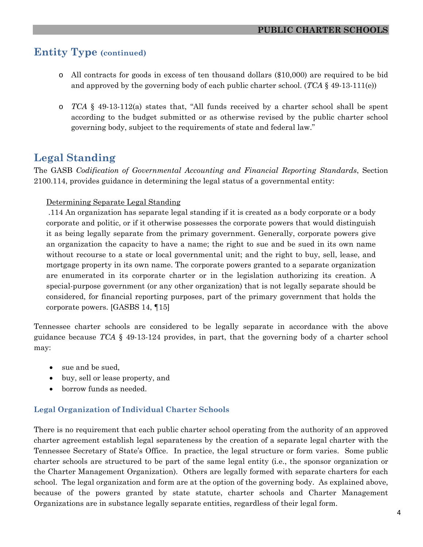### **Entity Type (continued)**

- o All contracts for goods in excess of ten thousand dollars (\$10,000) are required to be bid and approved by the governing body of each public charter school. (*TCA* § 49-13-111(e))
- o *TCA* § 49-13-112(a) states that, "All funds received by a charter school shall be spent according to the budget submitted or as otherwise revised by the public charter school governing body, subject to the requirements of state and federal law."

## **Legal Standing**

The GASB *Codification of Governmental Accounting and Financial Reporting Standards*, Section 2100.114, provides guidance in determining the legal status of a governmental entity:

#### Determining Separate Legal Standing

 .114 An organization has separate legal standing if it is created as a body corporate or a body corporate and politic, or if it otherwise possesses the corporate powers that would distinguish it as being legally separate from the primary government. Generally, corporate powers give an organization the capacity to have a name; the right to sue and be sued in its own name without recourse to a state or local governmental unit; and the right to buy, sell, lease, and mortgage property in its own name. The corporate powers granted to a separate organization are enumerated in its corporate charter or in the legislation authorizing its creation. A special-purpose government (or any other organization) that is not legally separate should be considered, for financial reporting purposes, part of the primary government that holds the corporate powers. [GASBS 14, ¶15]

Tennessee charter schools are considered to be legally separate in accordance with the above guidance because *TCA* § 49-13-124 provides, in part, that the governing body of a charter school may:

- sue and be sued,
- buy, sell or lease property, and
- borrow funds as needed.

#### **Legal Organization of Individual Charter Schools**

There is no requirement that each public charter school operating from the authority of an approved charter agreement establish legal separateness by the creation of a separate legal charter with the Tennessee Secretary of State's Office. In practice, the legal structure or form varies. Some public charter schools are structured to be part of the same legal entity (i.e., the sponsor organization or the Charter Management Organization). Others are legally formed with separate charters for each school. The legal organization and form are at the option of the governing body. As explained above, because of the powers granted by state statute, charter schools and Charter Management Organizations are in substance legally separate entities, regardless of their legal form.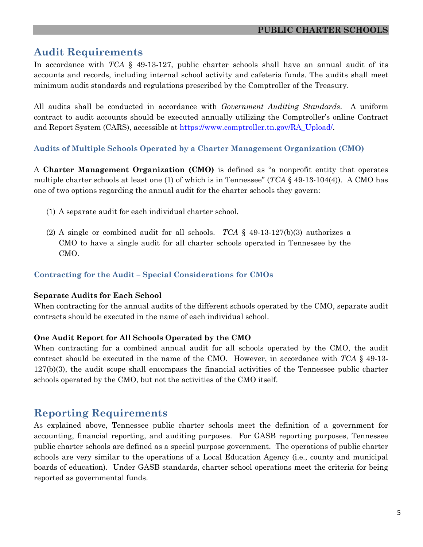## **Audit Requirements**

In accordance with *TCA* § 49-13-127, public charter schools shall have an annual audit of its accounts and records, including internal school activity and cafeteria funds. The audits shall meet minimum audit standards and regulations prescribed by the Comptroller of the Treasury.

All audits shall be conducted in accordance with *Government Auditing Standards*. A uniform contract to audit accounts should be executed annually utilizing the Comptroller's online Contract and Report System (CARS), accessible at https://www.comptroller.tn.gov/RA\_Upload/.

#### **Audits of Multiple Schools Operated by a Charter Management Organization (CMO)**

A **Charter Management Organization (CMO)** is defined as "a nonprofit entity that operates multiple charter schools at least one (1) of which is in Tennessee" (*TCA* § 49-13-104(4)). A CMO has one of two options regarding the annual audit for the charter schools they govern:

- (1) A separate audit for each individual charter school.
- (2) A single or combined audit for all schools. *TCA* § 49-13-127(b)(3) authorizes a CMO to have a single audit for all charter schools operated in Tennessee by the CMO.

#### **Contracting for the Audit – Special Considerations for CMOs**

#### **Separate Audits for Each School**

When contracting for the annual audits of the different schools operated by the CMO, separate audit contracts should be executed in the name of each individual school.

#### **One Audit Report for All Schools Operated by the CMO**

When contracting for a combined annual audit for all schools operated by the CMO, the audit contract should be executed in the name of the CMO. However, in accordance with *TCA* § 49-13- 127(b)(3), the audit scope shall encompass the financial activities of the Tennessee public charter schools operated by the CMO, but not the activities of the CMO itself.

### **Reporting Requirements**

As explained above, Tennessee public charter schools meet the definition of a government for accounting, financial reporting, and auditing purposes. For GASB reporting purposes, Tennessee public charter schools are defined as a special purpose government. The operations of public charter schools are very similar to the operations of a Local Education Agency (i.e., county and municipal boards of education). Under GASB standards, charter school operations meet the criteria for being reported as governmental funds.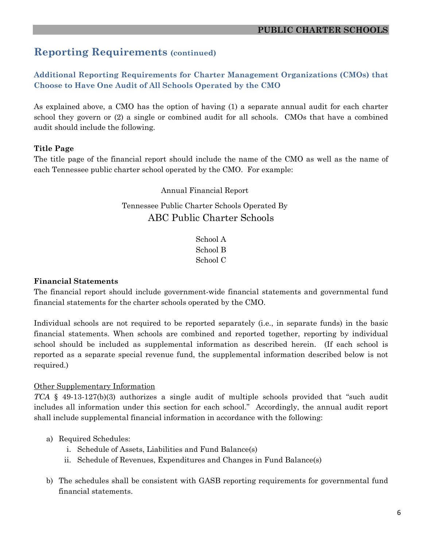### **Reporting Requirements (continued)**

#### **Additional Reporting Requirements for Charter Management Organizations (CMOs) that Choose to Have One Audit of All Schools Operated by the CMO**

As explained above, a CMO has the option of having (1) a separate annual audit for each charter school they govern or (2) a single or combined audit for all schools. CMOs that have a combined audit should include the following.

#### **Title Page**

The title page of the financial report should include the name of the CMO as well as the name of each Tennessee public charter school operated by the CMO. For example:

Annual Financial Report

### Tennessee Public Charter Schools Operated By ABC Public Charter Schools

School A School B School C

#### **Financial Statements**

The financial report should include government-wide financial statements and governmental fund financial statements for the charter schools operated by the CMO.

Individual schools are not required to be reported separately (i.e., in separate funds) in the basic financial statements. When schools are combined and reported together, reporting by individual school should be included as supplemental information as described herein. (If each school is reported as a separate special revenue fund, the supplemental information described below is not required.)

#### Other Supplementary Information

*TCA* § 49-13-127(b)(3) authorizes a single audit of multiple schools provided that "such audit includes all information under this section for each school." Accordingly, the annual audit report shall include supplemental financial information in accordance with the following:

- a) Required Schedules:
	- i. Schedule of Assets, Liabilities and Fund Balance(s)
	- ii. Schedule of Revenues, Expenditures and Changes in Fund Balance(s)
- b) The schedules shall be consistent with GASB reporting requirements for governmental fund financial statements.